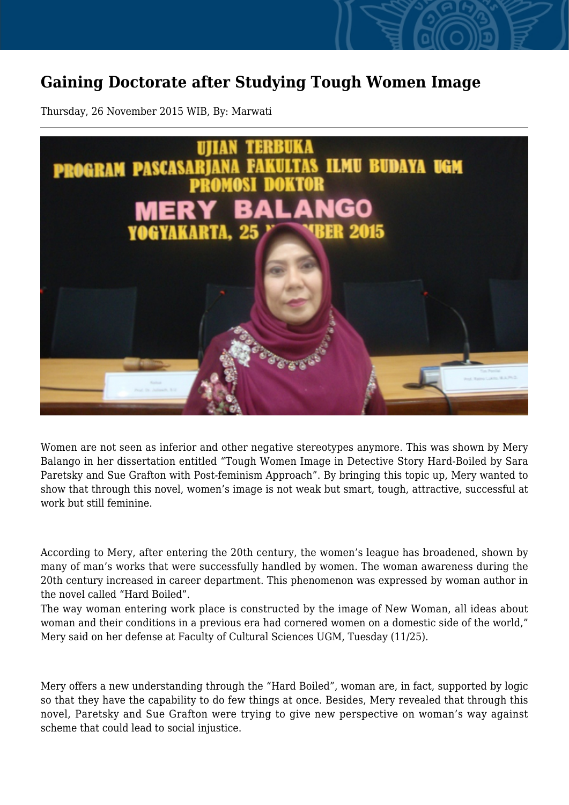## **Gaining Doctorate after Studying Tough Women Image**

Thursday, 26 November 2015 WIB, By: Marwati



Women are not seen as inferior and other negative stereotypes anymore. This was shown by Mery Balango in her dissertation entitled "Tough Women Image in Detective Story Hard-Boiled by Sara Paretsky and Sue Grafton with Post-feminism Approach". By bringing this topic up, Mery wanted to show that through this novel, women's image is not weak but smart, tough, attractive, successful at work but still feminine.

According to Mery, after entering the 20th century, the women's league has broadened, shown by many of man's works that were successfully handled by women. The woman awareness during the 20th century increased in career department. This phenomenon was expressed by woman author in the novel called "Hard Boiled".

The way woman entering work place is constructed by the image of New Woman, all ideas about woman and their conditions in a previous era had cornered women on a domestic side of the world," Mery said on her defense at Faculty of Cultural Sciences UGM, Tuesday (11/25).

Mery offers a new understanding through the "Hard Boiled", woman are, in fact, supported by logic so that they have the capability to do few things at once. Besides, Mery revealed that through this novel, Paretsky and Sue Grafton were trying to give new perspective on woman's way against scheme that could lead to social injustice.